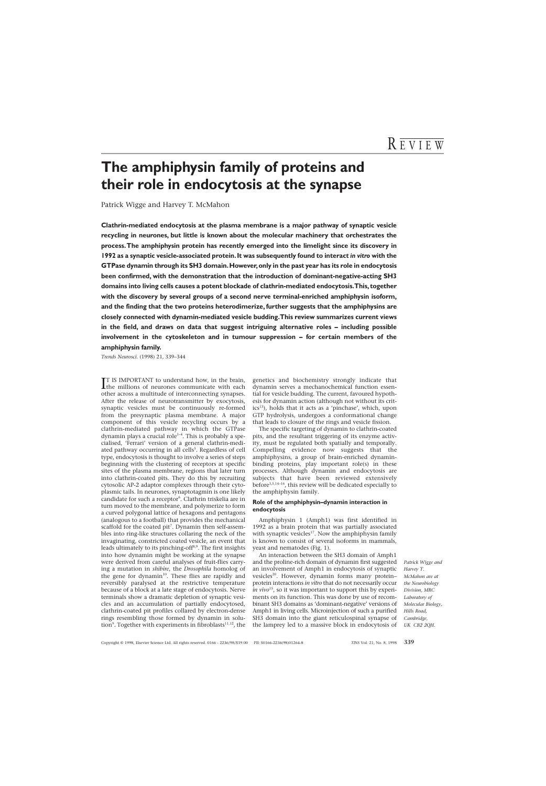# **The amphiphysin family of proteins and their role in endocytosis at the synapse**

Patrick Wigge and Harvey T. McMahon

**Clathrin-mediated endocytosis at the plasma membrane is a major pathway of synaptic vesicle recycling in neurones, but little is known about the molecular machinery that orchestrates the process.The amphiphysin protein has recently emerged into the limelight since its discovery in 1992 as a synaptic vesicle-associated protein.It was subsequently found to interact** *in vitro* **with the GTPase dynamin through its SH3 domain.However,only in the past year has its role in endocytosis been confirmed, with the demonstration that the introduction of dominant-negative-acting SH3 domains into living cells causes a potent blockade of clathrin-mediated endocytosis.This,together with the discovery by several groups of a second nerve terminal-enriched amphiphysin isoform, and the finding that the two proteins heterodimerize, further suggests that the amphiphysins are closely connected with dynamin-mediated vesicle budding.This review summarizes current views in the field, and draws on data that suggest intriguing alternative roles – including possible involvement in the cytoskeleton and in tumour suppression – for certain members of the amphiphysin family.**

*Trends Neurosci.* (1998) 21, 339–344

IT IS IMPORTANT to understand how, in the brain,<br>the millions of neurones communicate with each **TT IS IMPORTANT to understand how, in the brain,** other across a multitude of interconnecting synapses. After the release of neurotransmitter by exocytosis, synaptic vesicles must be continuously re-formed from the presynaptic plasma membrane. A major component of this vesicle recycling occurs by a clathrin-mediated pathway in which the GTPase dynamin plays a crucial role<sup>1-4</sup>. This is probably a specialised, 'Ferrari' version of a general clathrin-mediated pathway occurring in all cells<sup>5</sup>. Regardless of cell type, endocytosis is thought to involve a series of steps beginning with the clustering of receptors at specific sites of the plasma membrane, regions that later turn into clathrin-coated pits. They do this by recruiting cytosolic AP-2 adaptor complexes through their cytoplasmic tails. In neurones, synaptotagmin is one likely candidate for such a receptor<sup>6</sup>. Clathrin triskelia are in turn moved to the membrane, and polymerize to form a curved polygonal lattice of hexagons and pentagons (analogous to a football) that provides the mechanical scaffold for the coated  $pit^7$ . Dynamin then self-assembles into ring-like structures collaring the neck of the invaginating, constricted coated vesicle, an event that leads ultimately to its pinching-off<sup>8,9</sup>. The first insights into how dynamin might be working at the synapse were derived from careful analyses of fruit-flies carrying a mutation in *shibire*, the *Drosophila* homolog of the gene for dynamin<sup>10</sup>. These flies are rapidly and reversibly paralysed at the restrictive temperature because of a block at a late stage of endocytosis. Nerve terminals show a dramatic depletion of synaptic vesicles and an accumulation of partially endocytosed, clathrin-coated pit profiles collared by electron-dense rings resembling those formed by dynamin in solution<sup>9</sup>. Together with experiments in fibroblasts<sup>11,12</sup>, the

genetics and biochemistry strongly indicate that dynamin serves a mechanochemical function essential for vesicle budding. The current, favoured hypothesis for dynamin action (although not without its critics<sup>13</sup>), holds that it acts as a 'pinchase', which, upon GTP hydrolysis, undergoes a conformational change that leads to closure of the rings and vesicle fission.

The specific targeting of dynamin to clathrin-coated pits, and the resultant triggering of its enzyme activity, must be regulated both spatially and temporally. Compelling evidence now suggests that the amphiphysins, a group of brain-enriched dynaminbinding proteins, play important role(s) in these processes. Although dynamin and endocytosis are subjects that have been reviewed extensively before<sup>3,5,14-16</sup>, this review will be dedicated especially to the amphiphysin family.

## **Role of the amphiphysin–dynamin interaction in endocytosis**

Amphiphysin 1 (Amph1) was first identified in 1992 as a brain protein that was partially associated with synaptic vesicles<sup>17</sup>. Now the amphiphysin family is known to consist of several isoforms in mammals, yeast and nematodes (Fig. 1).

An interaction between the SH3 domain of Amph1 and the proline-rich domain of dynamin first suggested an involvement of Amph1 in endocytosis of synaptic vesicles<sup>20</sup>. However, dynamin forms many proteinprotein interactions *in vitro* that do not necessarily occur *in vivo*<sup>15</sup>, so it was important to support this by experiments on its function. This was done by use of recombinant SH3 domains as 'dominant-negative' versions of Amph1 in living cells. Microinjection of such a purified SH3 domain into the giant reticulospinal synapse of the lamprey led to a massive block in endocytosis of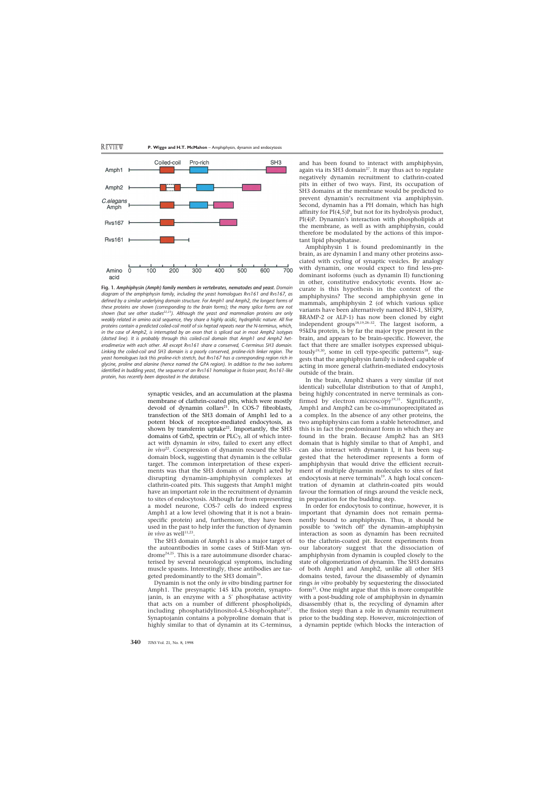

**Fig. 1.** *Amphiphysin (Amph) family members in vertebrates, nematodes and yeast. Domain diagram of the amphiphysin family, including the yeast homologues Rvs161 and Rvs167, as defined by a similar underlying domain structure. For Amph1 and Amph2, the longest forms of these proteins are shown (corresponding to the brain forms); the many splice forms are not* shown (but see other studies<sup>22,23</sup>). Although the yeast and mammalian proteins are only *weakly related in amino acid sequence, they share a highly acidic, hydrophilic nature. All five proteins contain a predicted coiled-coil motif of six heptad repeats near the N-terminus, which, in the case of Amph2, is interrupted by an exon that is spliced out in most Amph2 isotypes (dotted line). It is probably through this coiled-coil domain that Amph1 and Amph2 heterodimerize with each other. All except Rvs161 share a conserved, C-terminus SH3 domain. Linking the coiled-coil and SH3 domain is a poorly conserved, proline-rich linker region. The yeast homologues lack this proline-rich stretch, but Rvs167 has a corresponding region rich in glycine, proline and alanine (hence named the GPA region). In addition to the two isoforms identified in budding yeast, the sequence of an Rvs161 homologue in fission yeast, Rvs161-like protein, has recently been deposited in the database.*

synaptic vesicles, and an accumulation at the plasma membrane of clathrin-coated pits, which were mostly devoid of dynamin collars<sup>21</sup>. In COS-7 fibroblasts, transfection of the SH3 domain of Amph1 led to a potent block of receptor-mediated endocytosis, as shown by transferrin uptake<sup>22</sup>. Importantly, the SH3 domains of Grb2, spectrin or PLC $\gamma$ , all of which interact with dynamin *in vitro*, failed to exert any effect *in vivo*<sup>22</sup>. Coexpression of dynamin rescued the SH3domain block, suggesting that dynamin is the cellular target. The common interpretation of these experiments was that the SH3 domain of Amph1 acted by disrupting dynamin–amphiphysin complexes at clathrin-coated pits. This suggests that Amph1 might have an important role in the recruitment of dynamin to sites of endocytosis. Although far from representing a model neurone, COS-7 cells do indeed express Amph1 at a low level (showing that it is not a brainspecific protein) and, furthermore, they have been used in the past to help infer the function of dynamin *in vivo* as well<sup>11,23</sup>.

The SH3 domain of Amph1 is also a major target of the autoantibodies in some cases of Stiff-Man syndrome24,25. This is a rare autoimmune disorder characterised by several neurological symptoms, including muscle spasms. Interestingly, these antibodies are targeted predominantly to the SH3 domain<sup>26</sup>.

Dynamin is not the only *in vitro* binding partner for Amph1. The presynaptic 145 kDa protein, synaptojanin, is an enzyme with a 5′ phosphatase activity that acts on a number of different phospholipids, including phosphatidylinositol-4,5-bisphosphate<sup>27</sup>. Synaptojanin contains a polyproline domain that is highly similar to that of dynamin at its C-terminus,

and has been found to interact with amphiphysin, again via its SH3 domain<sup>27</sup>. It may thus act to regulate negatively dynamin recruitment to clathrin-coated pits in either of two ways. First, its occupation of SH3 domains at the membrane would be predicted to prevent dynamin's recruitment via amphiphysin. Second, dynamin has a PH domain, which has high affinity for  $PI(4,5)P_2$  but not for its hydrolysis product, PI(4)P. Dynamin's interaction with phospholipids at the membrane, as well as with amphiphysin, could therefore be modulated by the actions of this important lipid phosphatase.

Amphiphysin 1 is found predominantly in the brain, as are dynamin I and many other proteins associated with cycling of synaptic vesicles. By analogy with dynamin, one would expect to find less-predominant isoforms (such as dynamin II) functioning in other, constitutive endocytotic events. How accurate is this hypothesis in the context of the amphiphysins? The second amphiphysin gene in mammals, amphiphysin 2 (of which various splice variants have been alternatively named BIN-1, SH3P9, BRAMP-2 or ALP-1) has now been cloned by eight independent groups<sup>18,19,28–32</sup>. The largest isoform, a 95kDa protein, is by far the major type present in the brain, and appears to be brain-specific. However, the fact that there are smaller isotypes expressed ubiquitously<sup>19,30</sup>, some in cell type-specific patterns<sup>18</sup>, suggests that the amphiphysin family is indeed capable of acting in more general clathrin-mediated endocytosis outside of the brain.

In the brain, Amph2 shares a very similar (if not identical) subcellular distribution to that of Amph1, being highly concentrated in nerve terminals as confirmed by electron microscopy $19,31$ . Significantly, Amph1 and Amph2 can be co-immunoprecipitated as a complex. In the absence of any other proteins, the two amphiphysins can form a stable heterodimer, and this is in fact the predominant form in which they are found in the brain. Because Amph2 has an SH3 domain that is highly similar to that of Amph1, and can also interact with dynamin I, it has been suggested that the heterodimer represents a form of amphiphysin that would drive the efficient recruitment of multiple dynamin molecules to sites of fast endocytosis at nerve terminals<sup>19</sup>. A high local concentration of dynamin at clathrin-coated pits would favour the formation of rings around the vesicle neck, in preparation for the budding step.

In order for endocytosis to continue, however, it is important that dynamin does not remain permanently bound to amphiphysin. Thus, it should be possible to 'switch off' the dynamin–amphiphysin interaction as soon as dynamin has been recruited to the clathrin-coated pit. Recent experiments from our laboratory suggest that the dissociation of amphiphysin from dynamin is coupled closely to the state of oligomerization of dynamin. The SH3 domains of both Amph1 and Amph2, unlike all other SH3 domains tested, favour the disassembly of dynamin rings *in vitro* probably by sequestering the dissociated form $33$ . One might argue that this is more compatible with a post-budding role of amphiphysin in dynamin disassembly (that is, the recycling of dynamin after the fission step) than a role in dynamin recruitment prior to the budding step. However, microinjection of a dynamin peptide (which blocks the interaction of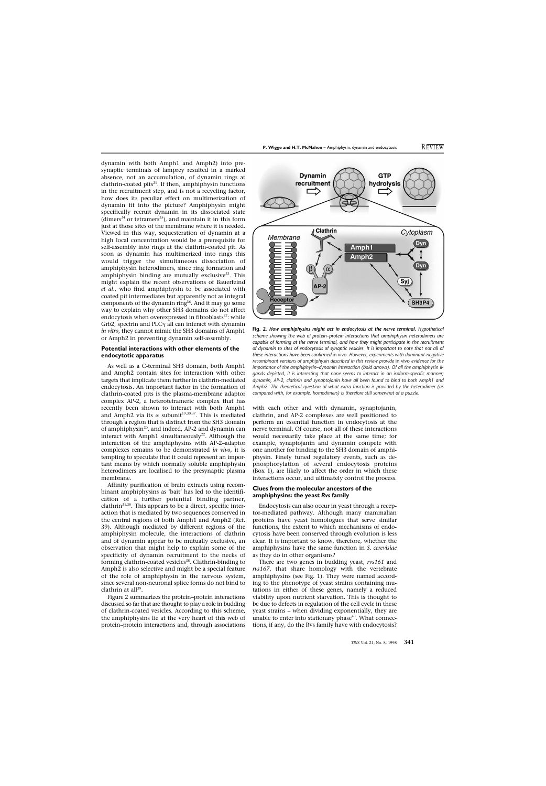dynamin with both Amph1 and Amph2) into presynaptic terminals of lamprey resulted in a marked absence, not an accumulation, of dynamin rings at clathrin-coated pits $^{21}$ . If then, amphiphysin functions in the recruitment step, and is not a recycling factor, how does its peculiar effect on multimerization of dynamin fit into the picture? Amphiphysin might specifically recruit dynamin in its dissociated state (dimers<sup>34</sup> or tetramers<sup>35</sup>), and maintain it in this form just at those sites of the membrane where it is needed. Viewed in this way, sequesteration of dynamin at a high local concentration would be a prerequisite for self-assembly into rings at the clathrin-coated pit. As soon as dynamin has multimerized into rings this would trigger the simultaneous dissociation of amphiphysin heterodimers, since ring formation and amphiphysin binding are mutually exclusive $33$ . This might explain the recent observations of Bauerfeind *et al.*, who find amphiphysin to be associated with coated pit intermediates but apparently not as integral components of the dynamin ring<sup>36</sup>. And it may go some way to explain why other SH3 domains do not affect endocytosis when overexpressed in fibroblasts $22$ : while Grb2, spectrin and PLC $\gamma$  all can interact with dynamin *in vitro*, they cannot mimic the SH3 domains of Amph1 or Amph2 in preventing dynamin self-assembly.

### **Potential interactions with other elements of the endocytotic apparatus**

As well as a C-terminal SH3 domain, both Amph1 and Amph2 contain sites for interaction with other targets that implicate them further in clathrin-mediated endocytosis. An important factor in the formation of clathrin-coated pits is the plasma-membrane adaptor complex AP-2, a heterotetrameric complex that has recently been shown to interact with both Amph1 and Amph2 via its  $\alpha$  subunit<sup>19,30,37</sup>. This is mediated through a region that is distinct from the SH3 domain of amphiphysin<sup>20</sup>, and indeed, AP-2 and dynamin can interact with Amph1 simultaneously<sup>22</sup>. Although the interaction of the amphiphysins with AP-2–adaptor complexes remains to be demonstrated *in vivo*, it is tempting to speculate that it could represent an important means by which normally soluble amphiphysin heterodimers are localised to the presynaptic plasma membrane.

Affinity purification of brain extracts using recombinant amphiphysins as 'bait' has led to the identification of a further potential binding partner,  $clathrin<sup>31,38</sup>$ . This appears to be a direct, specific interaction that is mediated by two sequences conserved in the central regions of both Amph1 and Amph2 (Ref. 39). Although mediated by different regions of the amphiphysin molecule, the interactions of clathrin and of dynamin appear to be mutually exclusive, an observation that might help to explain some of the specificity of dynamin recruitment to the necks of forming clathrin-coated vesicles<sup>38</sup>. Clathrin-binding to Amph2 is also selective and might be a special feature of the role of amphiphysin in the nervous system, since several non-neuronal splice forms do not bind to clathrin at all $^{39}$ .

Figure 2 summarizes the protein–protein interactions discussed so far that are thought to play a role in budding of clathrin-coated vesicles. According to this scheme, the amphiphysins lie at the very heart of this web of protein–protein interactions and, through associations



**Fig. 2.** *How amphiphysins might act in endocytosis at the nerve terminal. Hypothetical scheme showing the web of protein–protein interactions that amphiphysin heterodimers are capable of forming at the nerve terminal, and how they might participate in the recruitment of dynamin to sites of endocytosis of synaptic vesicles. It is important to note that not all of these interactions have been confirmed* in vivo*. However, experiments with dominant-negative recombinant versions of amphiphysin described in this review provide* in vivo *evidence for the importance of the amphiphysin–dynamin interaction (bold arrows). Of all the amphiphysin ligands depicted, it is interesting that none seems to interact in an isoform-specific manner; dynamin, AP-2, clathrin and synaptojanin have all been found to bind to both Amph1 and Amph2. The theoretical question of what extra function is provided by the heterodimer (as compared with, for example, homodimers) is therefore still somewhat of a puzzle.*

with each other and with dynamin, synaptojanin, clathrin, and AP-2 complexes are well positioned to perform an essential function in endocytosis at the nerve terminal. Of course, not all of these interactions would necessarily take place at the same time; for example, synaptojanin and dynamin compete with one another for binding to the SH3 domain of amphiphysin. Finely tuned regulatory events, such as dephosphorylation of several endocytosis proteins (Box 1), are likely to affect the order in which these interactions occur, and ultimately control the process.

#### **Clues from the molecular ancestors of the amphiphysins: the yeast** *Rvs* **family**

Endocytosis can also occur in yeast through a receptor-mediated pathway. Although many mammalian proteins have yeast homologues that serve similar functions, the extent to which mechanisms of endocytosis have been conserved through evolution is less clear. It is important to know, therefore, whether the amphiphysins have the same function in *S. cerevisiae* as they do in other organisms?

There are two genes in budding yeast, *rvs161* and *rvs167*, that share homology with the vertebrate amphiphysins (see Fig. 1). They were named according to the phenotype of yeast strains containing mutations in either of these genes, namely a reduced viability upon nutrient starvation. This is thought to be due to defects in regulation of the cell cycle in these yeast strains – when dividing exponentially, they are unable to enter into stationary phase<sup>40</sup>. What connections, if any, do the Rvs family have with endocytosis?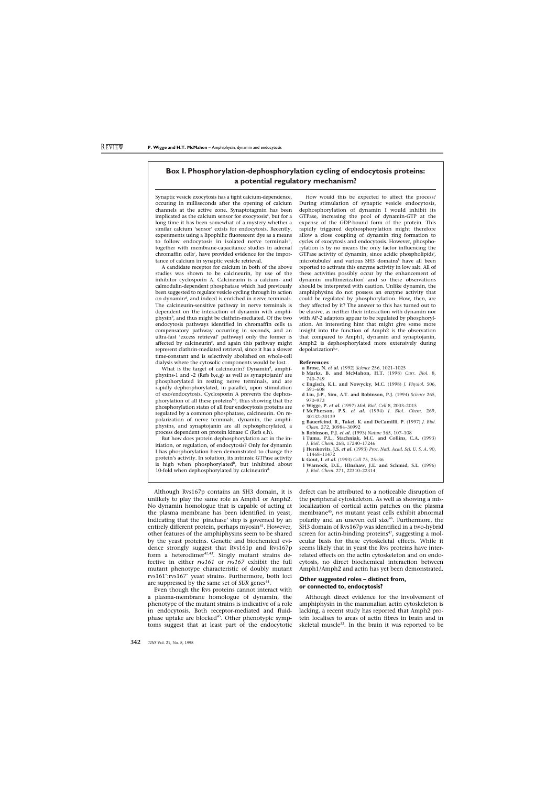## **Box I. Phosphorylation-dephosphorylation cycling of endocytosis proteins: a potential regulatory mechanism?**

Synaptic vesicle exocytosis has a tight calcium-dependence, occuring in milliseconds after the opening of calcium channels at the active zone. Synaptotagmin has been implicated as the calcium sensor for exocytosis<sup>a</sup>, but for a long time it has been somewhat of a mystery whether a similar calcium 'sensor' exists for endocytosis. Recently, experiments using a lipophilic fluorescent dye as a means to follow endocytosis in isolated nerve terminals<sup>b</sup>, together with membrane-capacitance studies in adrenal chromaffin cells<sup>c</sup>, have provided evidence for the importance of calcium in synaptic vesicle retrieval.

A candidate receptor for calcium in both of the above studies was shown to be calcineurin, by use of the inhibitor cyclosporin A. Calcineurin is a calcium- and calmodulin-dependent phosphatase which had previously been suggested to regulate vesicle cycling through its action on dynamin<sup>d</sup>, and indeed is enriched in nerve terminals. The calcineurin-sensitive pathway in nerve terminals is dependent on the interaction of dynamin with amphiphysin<sup>b</sup>, and thus might be clathrin-mediated. Of the two endocytosis pathways identified in chromaffin cells (a compensatory pathway occurring in seconds, and an ultra-fast 'excess retrieval' pathway) only the former is affected by calcineurin<sup>c</sup>, and again this pathway might represent clathrin-mediated retrieval, since it has a slower time-constant and is selectively abolished on whole-cell dialysis where the cytosolic components would be lost.

What is the target of calcineurin? Dynamin<sup>d</sup>, amphiphysins-1 and -2 (Refs b,e,g) as well as synaptojanin<sup>f</sup> are phosphorylated in resting nerve terminals, and are rapidly dephosphorylated, in parallel, upon stimulation of exo/endocytosis. Cyclosporin A prevents the dephosphorylation of all these proteinsb,g, thus showing that the phosphorylation states of all four endocytosis proteins are regulated by a common phosphatase, calcineurin. On repolarization of nerve terminals, dynamin, the amphiphysins, and synaptojanin are all rephosphorylated, a process dependent on protein kinase C (Refs e,h).

But how does protein dephosphorylation act in the initiation, or regulation, of endocytosis? Only for dynamin I has phosphorylation been demonstrated to change the protein's activity. In solution, its intrinsic GTPase activity is high when phosphorylated<sup>h</sup>, but inhibited about 10-fold when dephosphorylated by calcineurind.

How would this be expected to affect the process? During stimulation of synaptic vesicle endocytosis, dephosphorylation of dynamin I would inhibit its GTPase, increasing the pool of dynamin-GTP at the expense of the GDP-bound form of the protein. This rapidly triggered dephosphorylation might therefore allow a close coupling of dynamin ring formation to cycles of exocytosis and endocytosis. However, phosphorylation is by no means the only factor influencing the GTPase activity of dynamin, since acidic phospholipids<sup>i</sup>, microtubules<sup>j</sup> and various SH3 domains<sup>k</sup> have all been reported to activate this enzyme activity in low salt. All of these activities possibly occur by the enhancement of  $dynamin$  multimerization $<sup>1</sup>$  and so these observations</sup> should be interpreted with caution. Unlike dynamin, the amphiphysins do not possess an enzyme activity that could be regulated by phosphorylation. How, then, are they affected by it? The answer to this has turned out to be elusive, as neither their interaction with dynamin nor with AP-2 adaptors appear to be regulated by phosphorylation. An interesting hint that might give some more insight into the function of Amph2 is the observation that compared to Amph1, dynamin and synaptojanin, Amph2 is dephosphorylated more extensively during depolarization $b,e$ .

#### **References**

- **a Brose, N.** *et al.* (1992) *Science* 256, 1021–1025
- **b Marks, B. and McMahon, H.T.** (1998) *Curr. Biol.* 8, 740–749
- **c Engisch, K.L. and Nowycky, M.C.** (1998) *J. Physiol.* 506, 591–608
- **d Liu, J-P., Sim, A.T. and Robinson, P.J.** (1994) *Science* 265, 970–973
- **e Wigge, P.** *et al.* (1997) *Mol. Biol. Cell* 8, 2003–2015
- **f McPherson, P.S.** *et al.* (1994) *J. Biol. Chem.* 269, 30132–30139
- **g Bauerfeind, R., Takei, K. and DeCamilli, P.** (1997) *J. Biol. Chem.* 272, 30984–30992
- **h Robinson, P.J.** *et al.* (1993) *Nature* 365, 107–108
- **i Tuma, P.L., Stachniak, M.C. and Collins, C.A.** (1993) *J. Biol. Chem.* 268, 17240–17246
- **j Herskovits, J.S.** *et al.* (1993) *Proc. Natl. Acad. Sci. U. S. A.* 90, 11468–11472
- **k Gout, I.** *et al.* (1993) *Cell* 75, 25–36
- **l Warnock, D.E., HInshaw, J.E. and Schmid, S.L.** (1996) *J. Biol. Chem.* 271, 22310–22314

Although Rvs167p contains an SH3 domain, it is unlikely to play the same role as Amph1 or Amph2. No dynamin homologue that is capable of acting at the plasma membrane has been identified in yeast, indicating that the 'pinchase' step is governed by an entirely different protein, perhaps myosin<sup>41</sup>. However, other features of the amphiphysins seem to be shared by the yeast proteins. Genetic and biochemical evidence strongly suggest that Rvs161p and Rvs167p form a heterodimer $42,43$ . Singly mutant strains defective in either *rvs161* or *rvs167* exhibit the full mutant phenotype characteristic of doubly mutant rvs161– :rvs167– yeast strains. Furthermore, both loci are suppressed by the same set of *SUR* genes<sup>44</sup>.

Even though the Rvs proteins cannot interact with a plasma-membrane homologue of dynamin, the phenotype of the mutant strains is indicative of a role in endocytosis. Both receptor-mediated and fluidphase uptake are blocked<sup>45</sup>. Other phenotypic symptoms suggest that at least part of the endocytotic

defect can be attributed to a noticeable disruption of the peripheral cytoskeleton. As well as showing a mislocalization of cortical actin patches on the plasma membrane45, *rvs* mutant yeast cells exhibit abnormal polarity and an uneven cell size<sup>46</sup>. Furthermore, the SH3 domain of Rvs167p was identified in a two-hybrid screen for actin-binding proteins<sup>47</sup>, suggesting a molecular basis for these cytoskeletal effects. While it seems likely that in yeast the Rvs proteins have interrelated effects on the actin cytoskeleton and on endocytosis, no direct biochemical interaction between Amph1/Amph2 and actin has yet been demonstrated.

### **Other suggested roles – distinct from, or connected to, endocytosis?**

Although direct evidence for the involvement of amphiphysin in the mammalian actin cytoskeleton is lacking, a recent study has reported that Amph2 protein localises to areas of actin fibres in brain and in skeletal muscle $33$ . In the brain it was reported to be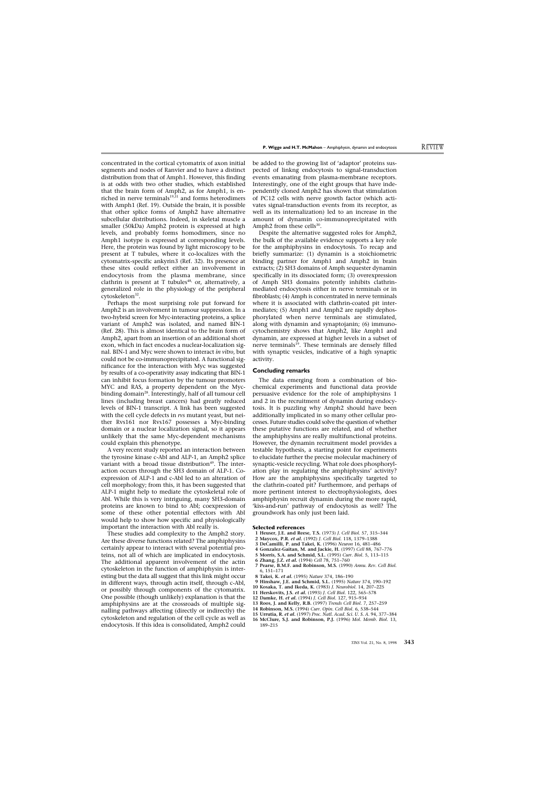concentrated in the cortical cytomatrix of axon initial segments and nodes of Ranvier and to have a distinct distribution from that of Amph1. However, this finding is at odds with two other studies, which established that the brain form of Amph2, as for Amph1, is enriched in nerve terminals $19,31$  and forms heterodimers with Amph1 (Ref. 19). Outside the brain, it is possible that other splice forms of Amph2 have alternative subcellular distributions. Indeed, in skeletal muscle a smaller (50kDa) Amph2 protein is expressed at high levels, and probably forms homodimers, since no Amph1 isotype is expressed at corresponding levels. Here, the protein was found by light microscopy to be present at T tubules, where it co-localizes with the cytomatrix-specific ankyrin3 (Ref. 32). Its presence at these sites could reflect either an involvement in endocytosis from the plasma membrane, since clathrin is present at T tubules<sup>48,</sup> or, alternatively, a generalized role in the physiology of the peripheral cytoskeleton<sup>32</sup>.

Perhaps the most surprising role put forward for Amph2 is an involvement in tumour suppression. In a two-hybrid screen for Myc-interacting proteins, a splice variant of Amph2 was isolated, and named BIN-1 (Ref. 28). This is almost identical to the brain form of Amph2, apart from an insertion of an additional short exon, which in fact encodes a nuclear-localization signal. BIN-1 and Myc were shown to interact *in vitro*, but could not be co-immunoprecipitated. A functional significance for the interaction with Myc was suggested by results of a co-operativity assay indicating that BIN-1 can inhibit focus formation by the tumour promoters MYC and RAS, a property dependent on the Mycbinding domain<sup>28</sup>. Interestingly, half of all tumour cell lines (including breast cancers) had greatly reduced levels of BIN-1 transcript. A link has been suggested with the cell cycle defects in *rvs* mutant yeast, but neither Rvs161 nor Rvs167 possesses a Myc-binding domain or a nuclear localization signal, so it appears unlikely that the same Myc-dependent mechanisms could explain this phenotype.

A very recent study reported an interaction between the tyrosine kinase c-Abl and ALP-1, an Amph2 splice variant with a broad tissue distribution<sup>49</sup>. The interaction occurs through the SH3 domain of ALP-1. Coexpression of ALP-1 and c-Abl led to an alteration of cell morphology; from this, it has been suggested that ALP-1 might help to mediate the cytoskeletal role of Abl. While this is very intriguing, many SH3-domain proteins are known to bind to Abl; coexpression of some of these other potential effectors with Abl would help to show how specific and physiologically important the interaction with Abl really is.

These studies add complexity to the Amph2 story. Are these diverse functions related? The amphiphysins certainly appear to interact with several potential proteins, not all of which are implicated in endocytosis. The additional apparent involvement of the actin cytoskeleton in the function of amphiphysin is interesting but the data all suggest that this link might occur in different ways, through actin itself, through c-Abl, or possibly through components of the cytomatrix. One possible (though unlikely) explanation is that the amphiphysins are at the crossroads of multiple signalling pathways affecting (directly or indirectly) the cytoskeleton and regulation of the cell cycle as well as endocytosis. If this idea is consolidated, Amph2 could be added to the growing list of 'adaptor' proteins suspected of linkng endocytosis to signal-transduction events emanating from plasma-membrane receptors. Interestingly, one of the eight groups that have independently cloned Amph2 has shown that stimulation of PC12 cells with nerve growth factor (which activates signal-transduction events from its receptor, as well as its internalization) led to an increase in the amount of dynamin co-immunoprecipitated with Amph2 from these cells $30$ .

Despite the alternative suggested roles for Amph2, the bulk of the available evidence supports a key role for the amphiphysins in endocytosis. To recap and briefly summarize: (1) dynamin is a stoichiometric binding partner for Amph1 and Amph2 in brain extracts; (2) SH3 domains of Amph sequester dynamin specifically in its dissociated form; (3) overexpression of Amph SH3 domains potently inhibits clathrinmediated endocytosis either in nerve terminals or in fibroblasts; (4) Amph is concentrated in nerve terminals where it is associated with clathrin-coated pit intermediates; (5) Amph1 and Amph2 are rapidly dephosphorylated when nerve terminals are stimulated, along with dynamin and synaptojanin; (6) immunocytochemistry shows that Amph2, like Amph1 and dynamin, are expressed at higher levels in a subset of nerve terminals<sup>19</sup>. These terminals are densely filled with synaptic vesicles, indicative of a high synaptic activity.

#### **Concluding remarks**

The data emerging from a combination of biochemical experiments and functional data provide persuasive evidence for the role of amphiphysins 1 and 2 in the recruitment of dynamin during endocytosis. It is puzzling why Amph2 should have been additionally implicated in so many other cellular processes. Future studies could solve the question of whether these putative functions are related, and of whether the amphiphysins are really multifunctional proteins. However, the dynamin recruitment model provides a testable hypothesis, a starting point for experiments to elucidate further the precise molecular machinery of synaptic-vesicle recycling. What role does phosphorylation play in regulating the amphiphysins' activity? How are the amphiphysins specifically targeted to the clathrin-coated pit? Furthermore, and perhaps of more pertinent interest to electrophysiologists, does amphiphysin recruit dynamin during the more rapid, 'kiss-and-run' pathway of endocytosis as well? The groundwork has only just been laid.

#### **Selected references**

- **1 Heuser, J.E. and Reese, T.S.** (1973) *J. Cell Biol.* 57, 315–344
- **2 Maycox, P.R.** *et al.* (1992) *J. Cell Biol.* 118, 1379–1388
- **3 DeCamilli, P. and Takei, K.** (1996) *Neuron* 16, 481–486
- **4 Gonzalez-Gaitan, M. and Jackie, H.** (1997) *Cell* 88, 767–776
- **5 Morris, S.A. and Schmid, S.L.** (1995) *Curr. Biol.* 5, 113–115
- **6 Zhang, J.Z.** *et al.* (1994) *Cell* 78, 751–760
- **7 Pearse, B.M.F. and Robinson, M.S.** (1990) *Annu. Rev. Cell Biol.* 6, 151–171
- **8 Takei, K.** *et al.* (1995) *Nature* 374, 186–190
- **9 Hinshaw, J.E. and Schmid, S.L.** (1995) *Nature* 374, 190–192
- **10 Kosaka, T. and Ikeda, K.** (1983) *J. Neurobiol.* 14, 207–225
- **11 Herskovits, J.S.** *et al.* (1993) *J. Cell Biol.* 122, 565–578
- **12 Damke, H.** *et al.* (1994) *J. Cell Biol.* 127, 915–934
- **13 Roos, J. and Kelly, R.B.** (1997) *Trends Cell Biol.* 7, 257–259
- **14 Robinson, M.S.** (1994) *Curr. Opin. Cell Biol.* 6, 538–544
- **15 Urrutia, R.** *et al.* (1997) *Proc. Natl. Acad. Sci. U. S. A.* 94, 377–384
- **16 McClure, S.J. and Robinson, P.J.** (1996) *Mol. Memb. Biol.* 13, 189–215